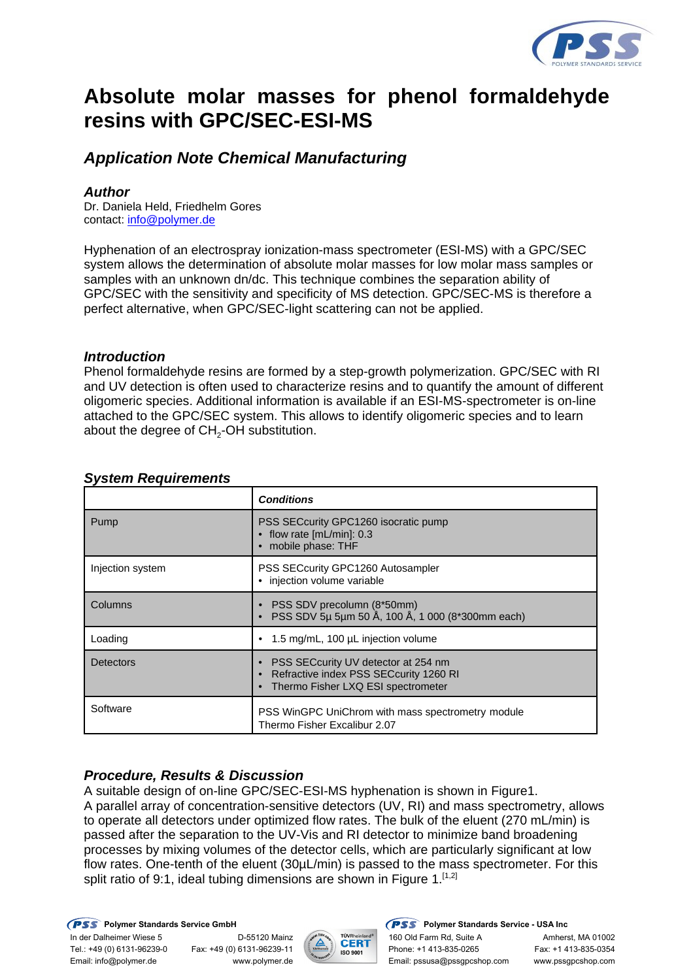

# **Absolute molar masses for phenol formaldehyde resins with GPC/SEC-ESI-MS**

# *Application Note Chemical Manufacturing*

# *Author*

Dr. Daniela Held, Friedhelm Gores contact: info@polymer.de

Hyphenation of an electrospray ionization-mass spectrometer (ESI-MS) with a GPC/SEC system allows the determination of absolute molar masses for low molar mass samples or samples with an unknown dn/dc. This technique combines the separation ability of GPC/SEC with the sensitivity and specificity of MS detection. GPC/SEC-MS is therefore a perfect alternative, when GPC/SEC-light scattering can not be applied.

#### *Introduction*

Phenol formaldehyde resins are formed by a step-growth polymerization. GPC/SEC with RI and UV detection is often used to characterize resins and to quantify the amount of different oligomeric species. Additional information is available if an ESI-MS-spectrometer is on-line attached to the GPC/SEC system. This allows to identify oligomeric species and to learn about the degree of CH<sub>2</sub>-OH substitution.

|                  | <b>Conditions</b>                                                                                                   |  |  |
|------------------|---------------------------------------------------------------------------------------------------------------------|--|--|
| Pump             | PSS SECcurity GPC1260 isocratic pump<br>$\bullet$ flow rate [mL/min]: 0.3<br>mobile phase: THF                      |  |  |
| Injection system | PSS SECcurity GPC1260 Autosampler<br>· injection volume variable                                                    |  |  |
| Columns          | • PSS SDV precolumn (8*50mm)<br>PSS SDV 5µ 5µm 50 Å, 100 Å, 1 000 (8*300mm each)                                    |  |  |
| Loading          | 1.5 mg/mL, 100 µL injection volume                                                                                  |  |  |
| Detectors        | PSS SECcurity UV detector at 254 nm<br>Refractive index PSS SECcurity 1260 RI<br>Thermo Fisher LXQ ESI spectrometer |  |  |
| Software         | PSS WinGPC UniChrom with mass spectrometry module<br>Thermo Fisher Excalibur 2.07                                   |  |  |

## *System Requirements*

# *Procedure, Results & Discussion*

A suitable design of on-line GPC/SEC-ESI-MS hyphenation is shown in Figure1. A parallel array of concentration-sensitive detectors (UV, RI) and mass spectrometry, allows to operate all detectors under optimized flow rates. The bulk of the eluent (270 mL/min) is passed after the separation to the UV-Vis and RI detector to minimize band broadening processes by mixing volumes of the detector cells, which are particularly significant at low flow rates. One-tenth of the eluent (30µL/min) is passed to the mass spectrometer. For this split ratio of 9:1, ideal tubing dimensions are shown in Figure  $1.^{[1,2]}$ 



**PSS** Polymer Standards Service GmbH **PSS** Polymer Standards Service - USA Inc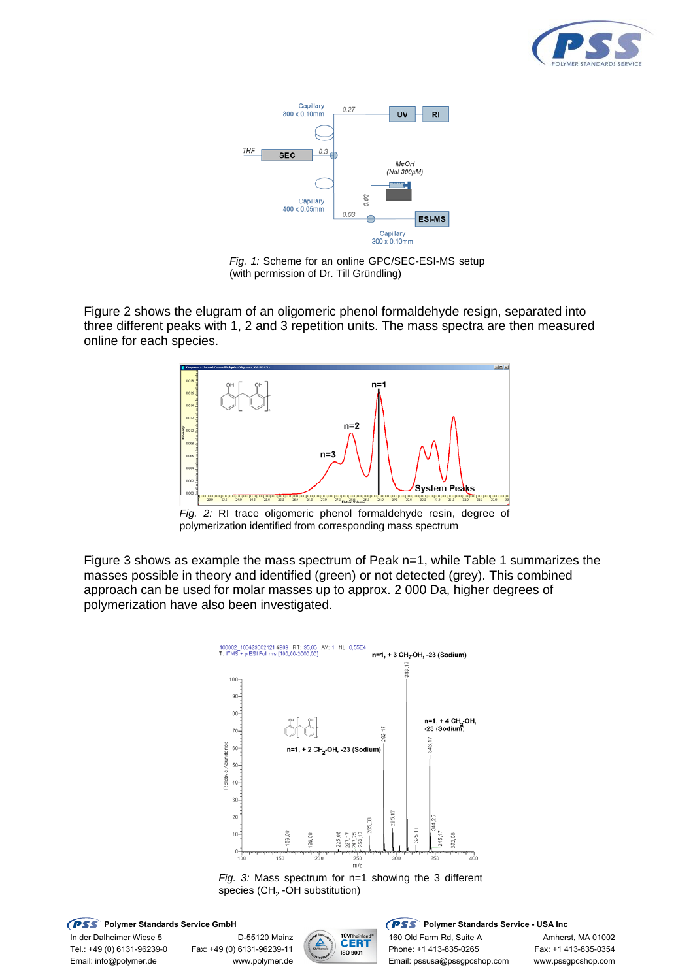



*Fig. 1:* Scheme for an online GPC/SEC-ESI-MS setup (with permission of Dr. Till Gründling)

Figure 2 shows the elugram of an oligomeric phenol formaldehyde resign, separated into three different peaks with 1, 2 and 3 repetition units. The mass spectra are then measured online for each species.



*Fig. 2:* RI trace oligomeric phenol formaldehyde resin, degree of polymerization identified from corresponding mass spectrum

Figure 3 shows as example the mass spectrum of Peak n=1, while Table 1 summarizes the masses possible in theory and identified (green) or not detected (grey). This combined approach can be used for molar masses up to approx. 2 000 Da, higher degrees of polymerization have also been investigated.





**PSS** Polymer Standards Service GmbH **PSS** Polymer Standards Service - USA Inc

In der Dalheimer Wiese 5 D-55120 Mainz 160 Old Farm Rd, Suite A Amherst, MA 01002<br>Tel.: +49 (0) 6131-96239-11 (1990) 180 Sant Phone: +1 413-835-0265 Fax: +1 413-835-0354



Tel.: +49 (0) 6131-96239-0 Fax: +49 (0) 6131-96239-11 Phone: +1 413-835-0265 Fax: +1 413-835-0354 Email: info@polymer.de www.polymer.de Email: pssusa@pssgpcshop.com www.pssgpcshop.com